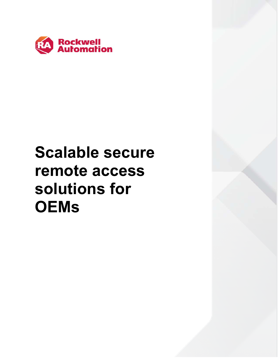

# **Scalable secure remote access solutions for OEMs**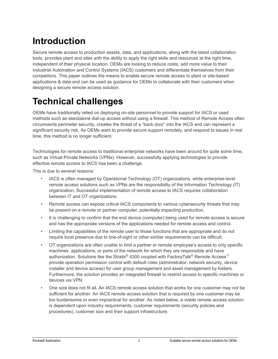# **Introduction**

Secure remote access to production assets, data, and applications, along with the latest collaboration tools, provides plant and sites with the ability to apply the right skills and resources at the right time, independent of their physical location. OEMs are looking to reduce costs, add more value to their Industrial Automation and Control Systems (IACS) customers and differentiate themselves from their competitors. This paper outlines the means to enable secure remote access to plant or site-based applications & data and can be used as guidance for OEMs to collaborate with their customers when designing a secure remote access solution.

# **Technical challenges**

OEMs have traditionally relied on deploying on-site personnel to provide support for IACS or used methods such as standalone dial-up access without using a firewall. This method of Remote Access often circumvents perimeter security, creates the threat of a "back door" into the IACS and can represent a significant security risk. As OEMs want to provide secure support remotely, and respond to issues in real time, this method is no longer sufficient.

Technologies for remote access to traditional enterprise networks have been around for quite some time, such as Virtual Private Networks (VPNs). However, successfully applying technologies to provide effective remote access to IACS has been a challenge.

This is due to several reasons:

- IACS is often managed by Operational Technology (OT) organizations, while enterprise-level remote access solutions such as VPNs are the responsibility of the Information Technology (IT) organization. Successful implementation of remote access to IACS requires collaboration between IT and OT organizations.
- Remote access can expose critical IACS components to various cybersecurity threats that may be present on a remote or partner computer, potentially impacting production.
- It is challenging to confirm that the end device (computer) being used for remote access is secure and has the appropriate versions of the applications needed for remote access and control.
- Limiting the capabilities of the remote user to those functions that are appropriate and do not require local presence due to line-of-sight or other similar requirements can be difficult.
- OT organizations are often unable to limit a partner or remote employee's access to only specific machines, applications, or parts of the network for which they are responsible and have authorization. Solutions like the Stratix® 4300 coupled with FactoryTalk® Remote Access™ provide operation permission control with default roles (administrator, network security, device installer and device access) for user group management and asset management by folders. Furthermore, the solution provides an integrated firewall to restrict access to specific machines or devices via VPN.
- One size does not fit all. An IACS remote access solution that works for one customer may not be sufficient for another. An IACS remote access solution that is required by one customer may be too burdensome or even impractical for another. As noted below, a viable remote access solution is dependent upon industry requirements, customer requirements (security policies and procedures), customer size and their support infrastructure.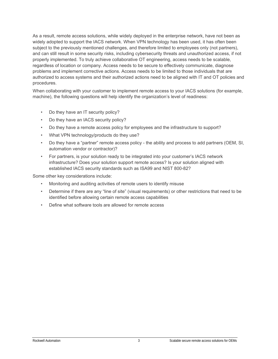As a result, remote access solutions, while widely deployed in the enterprise network, have not been as widely adopted to support the IACS network. When VPN technology has been used, it has often been subject to the previously mentioned challenges, and therefore limited to employees only (not partners), and can still result in some security risks, including cybersecurity threats and unauthorized access, if not properly implemented. To truly achieve collaborative OT engineering, access needs to be scalable, regardless of location or company. Access needs to be secure to effectively communicate, diagnose problems and implement corrective actions. Access needs to be limited to those individuals that are authorized to access systems and their authorized actions need to be aligned with IT and OT policies and procedures.

When collaborating with your customer to implement remote access to your IACS solutions (for example, machine), the following questions will help identify the organization's level of readiness:

- Do they have an IT security policy?
- Do they have an IACS security policy?
- Do they have a remote access policy for employees and the infrastructure to support?
- What VPN technology/products do they use?
- Do they have a "partner" remote access policy the ability and process to add partners (OEM, SI, automation vendor or contractor)?
- For partners, is your solution ready to be integrated into your customer's IACS network infrastructure? Does your solution support remote access? Is your solution aligned with established IACS security standards such as ISA99 and NIST 800-82?

Some other key considerations include:

- Monitoring and auditing activities of remote users to identify misuse
- Determine if there are any "line of site" (visual requirements) or other restrictions that need to be identified before allowing certain remote access capabilities
- Define what software tools are allowed for remote access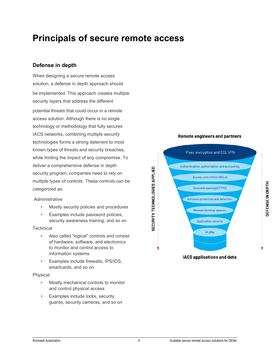# **Principals of secure remote access**

### **Defense in depth**

When designing a secure remote access solution, a defense in depth approach should be implemented. This approach creates multiple security layers that address the different potential threats that could occur in a remote access solution. Although there is no single technology or methodology that fully secures IACS networks, combining multiple security technologies forms a strong deterrent to most known types of threats and security breaches, while limiting the impact of any compromise. To deliver a comprehensive defense in depth security program, companies need to rely on multiple types of controls. These controls can be categorized as:

### Administrative

- Mostly security policies and procedures
- Examples include password policies, security awareness training, and so on

### **Technical**

- Also called "logical" controls and consist of hardware, software, and electronics to monitor and control access to information systems
- Examples include firewalls, IPS/IDS, smartcards, and so on

### Physical

- Mostly mechanical controls to monitor and control physical access
- Examples include locks, security guards, security cameras, and so on

### **Remote engineers and partners**

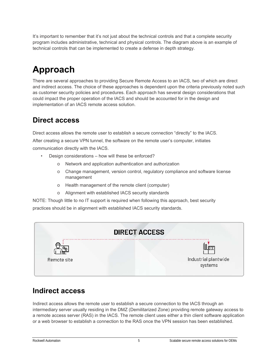It's important to remember that it's not just about the technical controls and that a complete security program includes administrative, technical and physical controls. The diagram above is an example of technical controls that can be implemented to create a defense in depth strategy.

# **Approach**

There are several approaches to providing Secure Remote Access to an IACS, two of which are direct and indirect access. The choice of these approaches is dependent upon the criteria previously noted such as customer security policies and procedures. Each approach has several design considerations that could impact the proper operation of the IACS and should be accounted for in the design and implementation of an IACS remote access solution.

## **Direct access**

Direct access allows the remote user to establish a secure connection "directly" to the IACS. After creating a secure VPN tunnel, the software on the remote user's computer, initiates communication directly with the IACS.

- Design considerations how will these be enforced?
	- o Network and application authentication and authorization
	- o Change management, version control, regulatory compliance and software license management
	- o Health management of the remote client (computer)
	- o Alignment with established IACS security standards

NOTE: Though little to no IT support is required when following this approach, best security practices should be in alignment with established IACS security standards.

| <b>DIRECT ACCESS</b> |                                 |
|----------------------|---------------------------------|
|                      |                                 |
| Remote site          | Industrial plantwide<br>systems |

## **Indirect access**

Indirect access allows the remote user to establish a secure connection to the IACS through an intermediary server usually residing in the DMZ (Demilitarized Zone) providing remote gateway access to a remote access server (RAS) in the IACS. The remote client uses either a thin client software application or a web browser to establish a connection to the RAS once the VPN session has been established.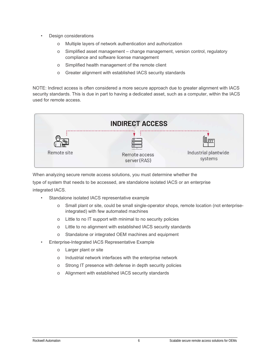- Design considerations
	- o Multiple layers of network authentication and authorization
	- $\circ$  Simplified asset management change management, version control, regulatory compliance and software license management
	- o Simplified health management of the remote client
	- o Greater alignment with established IACS security standards

NOTE: Indirect access is often considered a more secure approach due to greater alignment with IACS security standards. This is due in part to having a dedicated asset, such as a computer, within the IACS used for remote access.



When analyzing secure remote access solutions, you must determine whether the

type of system that needs to be accessed, are standalone isolated IACS or an enterprise integrated IACS.

- Standalone isolated IACS representative example
	- o Small plant or site, could be small single-operator shops, remote location (not enterpriseintegrated) with few automated machines
	- o Little to no IT support with minimal to no security policies
	- o Little to no alignment with established IACS security standards
	- o Standalone or integrated OEM machines and equipment
- Enterprise-Integrated IACS Representative Example
	- o Larger plant or site
	- o Industrial network interfaces with the enterprise network
	- o Strong IT presence with defense in depth security policies
	- o Alignment with established IACS security standards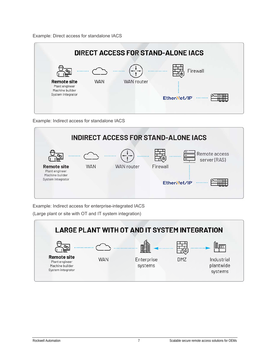Example: Direct access for standalone IACS



Example: Indirect access for standalone IACS



Example: Indirect access for enterprise-integrated IACS

(Large plant or site with OT and IT system integration)

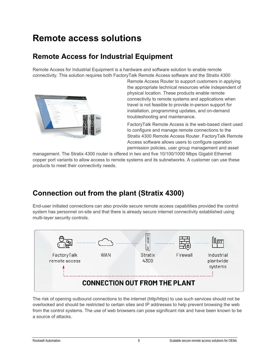# **Remote access solutions**

## **Remote Access for Industrial Equipment**

Remote Access for Industrial Equipment is a hardware and software solution to enable remote connectivity. This solution requires both FactoryTalk Remote Access software and the Stratix 4300



Remote Access Router to support customers in applying the appropriate technical resources while independent of physical location. These products enable remote connectivity to remote systems and applications when travel is not feasible to provide in-person support for installation, programming updates, and on-demand troubleshooting and maintenance.

FactoryTalk Remote Access is the web-based client used to configure and manage remote connections to the Stratix 4300 Remote Access Router. FactoryTalk Remote Access software allows users to configure operation permission policies, user group management and asset

management. The Stratix 4300 router is offered in two and five 10/100/1000 Mbps Gigabit Ethernet copper port variants to allow access to remote systems and its subnetworks. A customer can use these products to meet their connectivity needs.

## **Connection out from the plant (Stratix 4300)**

End-user initiated connections can also provide secure remote access capabilities provided the control system has personnel on-site and that there is already secure internet connectivity established using multi-layer security controls.



The risk of opening outbound connections to the internet (http/https) to use such services should not be overlooked and should be restricted to certain sites and IP addresses to help prevent browsing the web from the control systems. The use of web browsers can pose significant risk and have been known to be a source of attacks.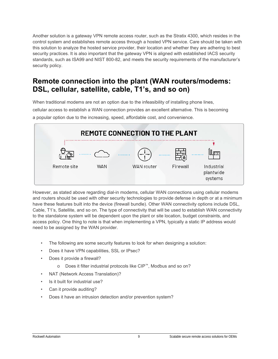Another solution is a gateway VPN remote access router, such as the Stratix 4300, which resides in the control system and establishes remote access through a hosted VPN service. Care should be taken with this solution to analyze the hosted service provider, their location and whether they are adhering to best security practices. It is also important that the gateway VPN is aligned with established IACS security standards, such as ISA99 and NIST 800-82, and meets the security requirements of the manufacturer's security policy.

### **Remote connection into the plant (WAN routers/modems: DSL, cellular, satellite, cable, T1's, and so on)**

When traditional modems are not an option due to the infeasibility of installing phone lines, cellular access to establish a WAN connection provides an excellent alternative. This is becoming a popular option due to the increasing, speed, affordable cost, and convenience.



However, as stated above regarding dial-in modems, cellular WAN connections using cellular modems and routers should be used with other security technologies to provide defense in depth or at a minimum have these features built into the device (firewall bundle). Other WAN connectivity options include DSL, Cable, T1's, Satellite, and so on. The type of connectivity that will be used to establish WAN connectivity to the standalone system will be dependent upon the plant or site location, budget constraints, and access policy. One thing to note is that when implementing a VPN, typically a static IP address would need to be assigned by the WAN provider.

- The following are some security features to look for when designing a solution:
- Does it have VPN capabilities, SSL or IPsec?
- Does it provide a firewall?
	- o Does it filter industrial protocols like CIP™, Modbus and so on?
- NAT (Network Access Translation)?
- Is it built for industrial use?
- Can it provide auditing?
- Does it have an intrusion detection and/or prevention system?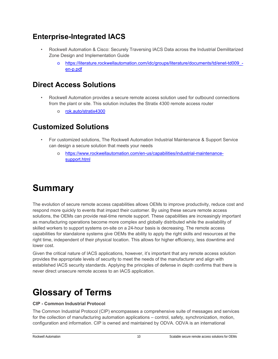## **Enterprise-Integrated IACS**

- Rockwell Automation & Cisco: Securely Traversing IACS Data across the Industrial Demilitarized Zone Design and Implementation Guide
	- o https://literature.rockwellautomation.com/idc/groups/literature/documents/td/enet-td009\_ en-p.pdf

### **Direct Access Solutions**

- Rockwell Automation provides a secure remote access solution used for outbound connections from the plant or site. This solution includes the Stratix 4300 remote access router
	- o rok.auto/stratix4300

### **Customized Solutions**

- For customized solutions, The Rockwell Automation Industrial Maintenance & Support Service can design a secure solution that meets your needs
	- o https://www.rockwellautomation.com/en-us/capabilities/industrial-maintenancesupport.html

# **Summary**

The evolution of secure remote access capabilities allows OEMs to improve productivity, reduce cost and respond more quickly to events that impact their customer. By using these secure remote access solutions, the OEMs can provide real-time remote support. These capabilities are increasingly important as manufacturing operations become more complex and globally distributed while the availability of skilled workers to support systems on-site on a 24-hour basis is decreasing. The remote access capabilities for standalone systems give OEMs the ability to apply the right skills and resources at the right time, independent of their physical location. This allows for higher efficiency, less downtime and lower cost.

Given the critical nature of IACS applications, however, it's important that any remote access solution provides the appropriate levels of security to meet the needs of the manufacturer and align with established IACS security standards. Applying the principles of defense in depth confirms that there is never direct unsecure remote access to an IACS application.

# **Glossary of Terms**

#### **CIP - Common Industrial Protocol**

The Common Industrial Protocol (CIP) encompasses a comprehensive suite of messages and services for the collection of manufacturing automation applications – control, safety, synchronization, motion, configuration and information. CIP is owned and maintained by ODVA. ODVA is an international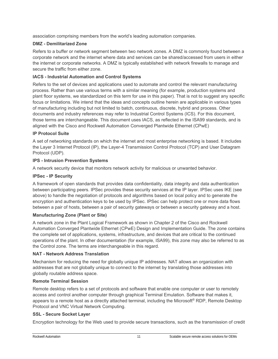association comprising members from the world's leading automation companies.

### **DMZ - Demilitarized Zone**

Refers to a buffer or network segment between two network zones. A DMZ is commonly found between a corporate network and the internet where data and services can be shared/accessed from users in either the internet or corporate networks. A DMZ is typically established with network firewalls to manage and secure the traffic from either zone.

### **IACS - Industrial Automation and Control Systems**

Refers to the set of devices and applications used to automate and control the relevant manufacturing process. Rather than use various terms with a similar meaning (for example, production systems and plant floor systems, we standardized on this term for use in this paper). That is not to suggest any specific focus or limitations. We intend that the ideas and concepts outline herein are applicable in various types of manufacturing including but not limited to batch, continuous, discrete, hybrid and process. Other documents and industry references may refer to Industrial Control Systems (ICS). For this document, those terms are interchangeable. This document uses IACS, as reflected in the ISA99 standards, and is aligned with the Cisco and Rockwell Automation Converged Plantwide Ethernet (CPwE)

### **IP Protocol Suite**

A set of networking standards on which the internet and most enterprise networking is based. It includes the Layer 3 Internet Protocol (IP), the Layer-4 Transmission Control Protocol (TCP) and User Datagram Protocol (UDP).

### **IPS - Intrusion Prevention Systems**

A network security device that monitors network activity for malicious or unwanted behavior.

### **IPSec - IP Security**

A framework of open standards that provides data confidentiality, data integrity and data authentication between participating peers. IPSec provides these security services at the IP layer. IPSec uses IKE (see above) to handle the negotiation of protocols and algorithms based on local policy and to generate the encryption and authentication keys to be used by IPSec. IPSec can help protect one or more data flows between a pair of hosts, between a pair of security gateways or between a security gateway and a host.

### **Manufacturing Zone (Plant or Site)**

A network zone in the Plant Logical Framework as shown in Chapter 2 of the Cisco and Rockwell Automation Converged Plantwide Ethernet (CPwE) Design and Implementation Guide. The zone contains the complete set of applications, systems, infrastructure, and devices that are critical to the continued operations of the plant. In other documentation (for example, ISA99), this zone may also be referred to as the Control zone. The terms are interchangeable in this regard.

### **NAT - Network Address Translation**

Mechanism for reducing the need for globally unique IP addresses. NAT allows an organization with addresses that are not globally unique to connect to the internet by translating those addresses into globally routable address space.

### **Remote Terminal Session**

Remote desktop refers to a set of protocols and software that enable one computer or user to remotely access and control another computer through graphical Terminal Emulation. Software that makes it, appears to a remote host as a directly attached terminal, including the Microsoft® RDP, Remote Desktop Protocol and VNC Virtual Network Computing.

### **SSL - Secure Socket Layer**

Encryption technology for the Web used to provide secure transactions, such as the transmission of credit